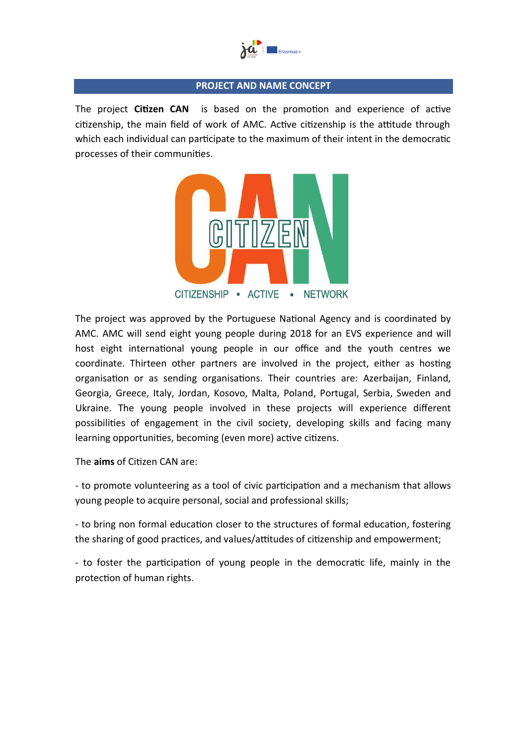

#### **PROJECT AND NAME CONCEPT**

The project **Citizen CAN** is based on the promotion and experience of active citizenship, the main field of work of AMC. Active citizenship is the attitude through which each individual can participate to the maximum of their intent in the democratic processes of their communities.



The project was approved by the Portuguese National Agency and is coordinated by AMC. AMC will send eight young people during 2018 for an EVS experience and will host eight international young people in our office and the youth centres we coordinate. Thirteen other partners are involved in the project, either as hosting organisation or as sending organisations. Their countries are: Azerbaijan, Finland, Georgia, Greece, Italy, Jordan, Kosovo, Malta, Poland, Portugal, Serbia, Sweden and Ukraine. The young people involved in these projects will experience different possibilities of engagement in the civil society, developing skills and facing many learning opportunities, becoming (even more) active citizens.

The **aims** of Citizen CAN are:

- to promote volunteering as a tool of civic participation and a mechanism that allows young people to acquire personal, social and professional skills;

- to bring non formal education closer to the structures of formal education, fostering the sharing of good practices, and values/attitudes of citizenship and empowerment;

- to foster the participation of young people in the democratic life, mainly in the protection of human rights.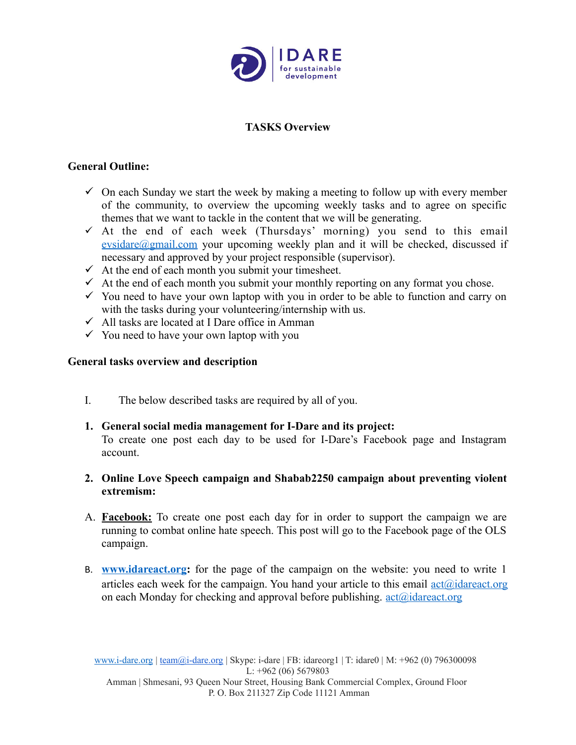

# **TASKS Overview**

## **General Outline:**

- $\checkmark$  On each Sunday we start the week by making a meeting to follow up with every member of the community, to overview the upcoming weekly tasks and to agree on specific themes that we want to tackle in the content that we will be generating.
- $\checkmark$  At the end of each week (Thursdays' morning) you send to this email [evsidare@gmail.com](mailto:evsidare@gmail.com) your upcoming weekly plan and it will be checked, discussed if necessary and approved by your project responsible (supervisor).
- $\checkmark$  At the end of each month you submit your timesheet.
- $\checkmark$  At the end of each month you submit your monthly reporting on any format you chose.
- $\checkmark$  You need to have your own laptop with you in order to be able to function and carry on with the tasks during your volunteering/internship with us.
- $\checkmark$  All tasks are located at I Dare office in Amman
- $\checkmark$  You need to have your own laptop with you

#### **General tasks overview and description**

- I. The below described tasks are required by all of you.
- **1. General social media management for I-Dare and its project:** To create one post each day to be used for I-Dare's Facebook page and Instagram account.
- **2. Online Love Speech campaign and Shabab2250 campaign about preventing violent extremism:**
- A. **Facebook:** To create one post each day for in order to support the campaign we are running to combat online hate speech. This post will go to the Facebook page of the OLS campaign.
- B. **[www.idareact.org:](http://www.idareact.org/)** for the page of the campaign on the website: you need to write 1 articles each week for the campaign. You hand your article to this email  $\frac{\text{act}(a)\text{idareact.org}}{\text{act}(a)}$ on each Monday for checking and approval before publishing.  $\arctan(\alpha)$  idareact.org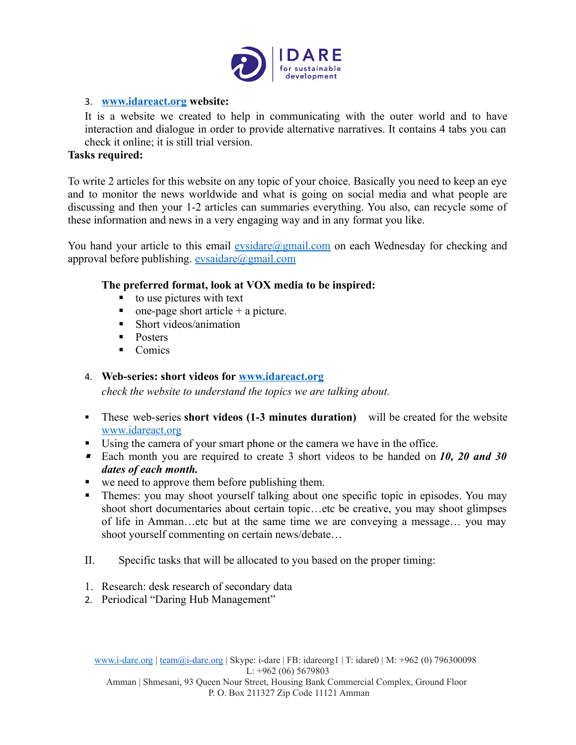

## 3. **[www.idareact.org](http://www.idareact.org/) website:**

It is a website we created to help in communicating with the outer world and to have interaction and dialogue in order to provide alternative narratives. It contains 4 tabs you can check it online; it is still trial version.

## **Tasks required:**

To write 2 articles for this website on any topic of your choice. Basically you need to keep an eye and to monitor the news worldwide and what is going on social media and what people are discussing and then your 1-2 articles can summaries everything. You also, can recycle some of these information and news in a very engaging way and in any format you like.

You hand your article to this email [evsidare@gmail.com](mailto:evsidare@gmail.com) on each Wednesday for checking and approval before publishing.  $evsaidare@gmail.com$ 

## **The preferred format, look at VOX media to be inspired:**

- to use pictures with text
- $\blacksquare$  one-page short article + a picture.
- Short videos/animation
- Posters
- Comics

# 4. **Web-series: short videos for [www.idareact.org](http://www.idareact.org/)**

*check the website to understand the topics we are talking about.*

- These web-series **short videos (1-3 minutes duration)** will be created for the website [www.idareact.org](http://www.idareact.org/)
- Using the camera of your smart phone or the camera we have in the office.
- Each month you are required to create 3 short videos to be handed on 10, 20 and 30 *dates of each month.*
- we need to approve them before publishing them.
- Themes: you may shoot yourself talking about one specific topic in episodes. You may shoot short documentaries about certain topic…etc be creative, you may shoot glimpses of life in Amman…etc but at the same time we are conveying a message… you may shoot yourself commenting on certain news/debate…
- II. Specific tasks that will be allocated to you based on the proper timing:
- 1. Research: desk research of secondary data
- 2. Periodical "Daring Hub Management"

[www.i-dare.org](http://www.i-dare.org/) | [team@i-dare.org](mailto:team@i-dare.org) | Skype: i-dare | FB: idareorg1 | T: idare0 | M: +962 (0) 796300098 L:  $+962(06)$  5679803 Amman | Shmesani, 93 Queen Nour Street, Housing Bank Commercial Complex, Ground Floor

P. O. Box 211327 Zip Code 11121 Amman